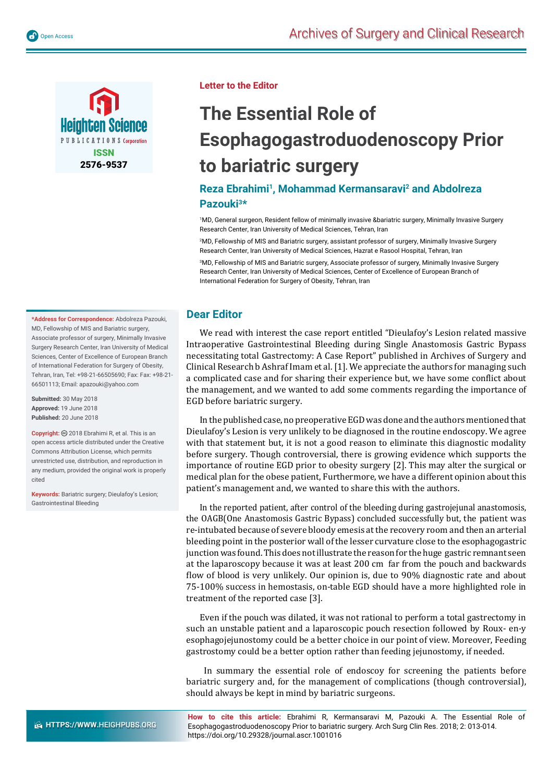

**Letter to the Editor**

## **The Essential Role of Esophagogastroduodenoscopy Prior to bariatric surgery**

## **Reza Ebrahimi1, Mohammad Kermansaravi2 and Abdolreza Pazouki3\***

1 MD, General surgeon, Resident fellow of minimally invasive &bariatric surgery, Minimally Invasive Surgery Research Center, Iran University of Medical Sciences, Tehran, Iran

2 MD, Fellowship of MIS and Bariatric surgery, assistant professor of surgery, Minimally Invasive Surgery Research Center, Iran University of Medical Sciences, Hazrat e Rasool Hospital, Tehran, Iran

3 MD, Fellowship of MIS and Bariatric surgery, Associate professor of surgery, Minimally Invasive Surgery Research Center, Iran University of Medical Sciences, Center of Excellence of European Branch of International Federation for Surgery of Obesity, Tehran, Iran

## **Dear Editor**

We read with interest the case report entitled "Dieulafoy's Lesion related massive Intraoperative Gastrointestinal Bleeding during Single Anastomosis Gastric Bypass necessitating total Gastrectomy: A Case Report" published in Archives of Surgery and Clinical Research b Ashraf Imam et al. [1]. We appreciate the authors for managing such a complicated case and for sharing their experience but, we have some conflict about the management, and we wanted to add some comments regarding the importance of EGD before bariatric surgery.

In the published case, no preoperative EGD was done and the authors mentioned that Dieulafoy's Lesion is very unlikely to be diagnosed in the routine endoscopy. We agree with that statement but, it is not a good reason to eliminate this diagnostic modality before surgery. Though controversial, there is growing evidence which supports the importance of routine EGD prior to obesity surgery [2]. This may alter the surgical or medical plan for the obese patient, Furthermore, we have a different opinion about this patient's management and, we wanted to share this with the authors.

In the reported patient, after control of the bleeding during gastrojejunal anastomosis, the OAGB(One Anastomosis Gastric Bypass) concluded successfully but, the patient was re-intubated because of severe bloody emesis at the recovery room and then an arterial bleeding point in the posterior wall of the lesser curvature close to the esophagogastric junction was found. This does not illustrate the reason for the huge gastric remnant seen at the laparoscopy because it was at least 200 cm far from the pouch and backwards flow of blood is very unlikely. Our opinion is, due to 90% diagnostic rate and about 75-100% success in hemostasis, on-table EGD should have a more highlighted role in treatment of the reported case [3].

Even if the pouch was dilated, it was not rational to perform a total gastrectomy in such an unstable patient and a laparoscopic pouch resection followed by Roux- en-y esophagojejunostomy could be a better choice in our point of view. Moreover, Feeding gastrostomy could be a better option rather than feeding jejunostomy, if needed.

 In summary the essential role of endoscoy for screening the patients before bariatric surgery and, for the management of complications (though controversial), should always be kept in mind by bariatric surgeons.

**How to cite this article:** Ebrahimi R, Kermansaravi M, Pazouki A. The Essential Role of Esophagogastroduodenoscopy Prior to bariatric surgery. Arch Surg Clin Res. 2018; 2: 013-014. https://doi.org/10.29328/journal.ascr.1001016

**\*Address for Correspondence:** Abdolreza Pazouki, MD, Fellowship of MIS and Bariatric surgery, Associate professor of surgery, Minimally Invasive Surgery Research Center, Iran University of Medical Sciences, Center of Excellence of European Branch of International Federation for Surgery of Obesity, Tehran, Iran, Tel: +98-21-66505690; Fax: Fax: +98-21- 66501113; Email: apazouki@yahoo.com

**Submitted:** 30 May 2018 **Approved:** 19 June 2018 **Published:** 20 June 2018

**Copyright:** 2018 Ebrahimi R, et al. This is an open access article distributed under the Creative Commons Attribution License, which permits unrestricted use, distribution, and reproduction in any medium, provided the original work is properly cited

**Keywords:** Bariatric surgery; Dieulafoy's Lesion; Gastrointestinal Bleeding